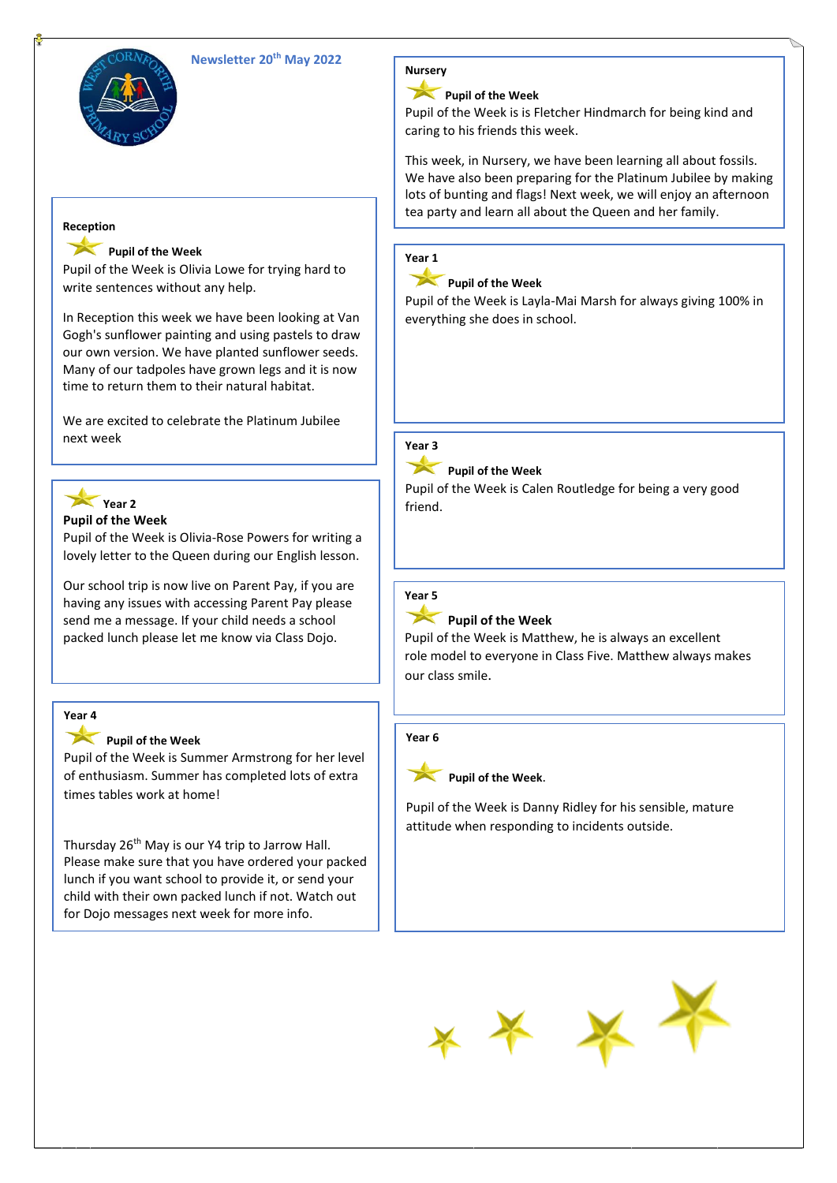



### **Reception**

### **Pupil of the Week**

Pupil of the Week is Olivia Lowe for trying hard to write sentences without any help.

In Reception this week we have been looking at Van Gogh's sunflower painting and using pastels to draw our own version. We have planted sunflower seeds. Many of our tadpoles have grown legs and it is now time to return them to their natural habitat.

We are excited to celebrate the Platinum Jubilee next week



#### **Pupil of the Week**

Pupil of the Week is Olivia-Rose Powers for writing a lovely letter to the Queen during our English lesson.

Our school trip is now live on Parent Pay, if you are having any issues with accessing Parent Pay please send me a message. If your child needs a school packed lunch please let me know via Class Dojo.

# **Year 4**

### Pupil of the Week

Pupil of the Week is Summer Armstrong for her level of enthusiasm. Summer has completed lots of extra times tables work at home!

Thursday 26<sup>th</sup> May is our Y4 trip to Jarrow Hall. Please make sure that you have ordered your packed lunch if you want school to provide it, or send your child with their own packed lunch if not. Watch out for Dojo messages next week for more info.



# **Pupil of the Week**

Pupil of the Week is is Fletcher Hindmarch for being kind and caring to his friends this week.

This week, in Nursery, we have been learning all about fossils. We have also been preparing for the Platinum Jubilee by making lots of bunting and flags! Next week, we will enjoy an afternoon tea party and learn all about the Queen and her family.

# **Year 1**

# Pupil of the Week

Pupil of the Week is Layla-Mai Marsh for always giving 100% in everything she does in school.

#### **Year 3**

### **Pupil of the Week**

Pupil of the Week is Calen Routledge for being a very good friend.

### **Year 5**

### Pupil of the Week

Pupil of the Week is Matthew, he is always an excellent role model to everyone in Class Five. Matthew always makes our class smile.

#### **Year 6**



Pupil of the Week.

Pupil of the Week is Danny Ridley for his sensible, mature attitude when responding to incidents outside.

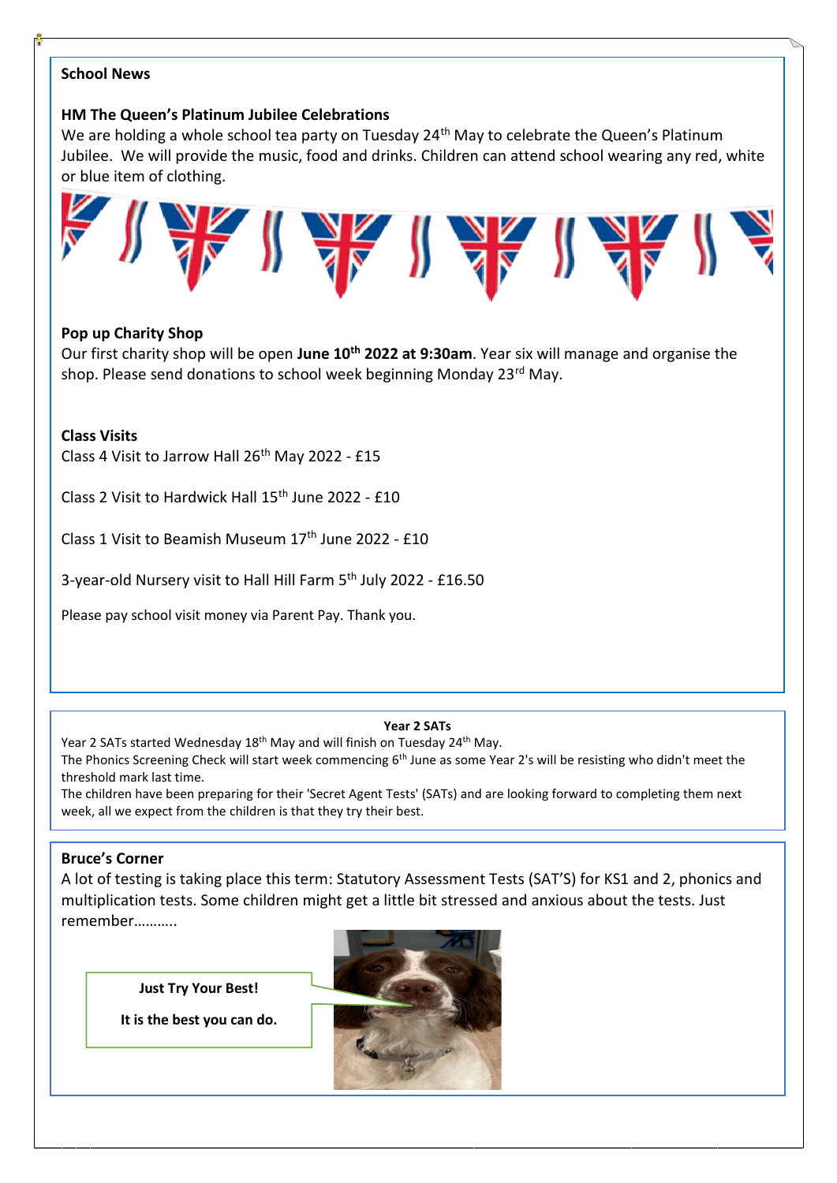# **School News**

# **HM The Queen's Platinum Jubilee Celebrations**

We are holding a whole school tea party on Tuesday 24<sup>th</sup> May to celebrate the Queen's Platinum Jubilee. We will provide the music, food and drinks. Children can attend school wearing any red, white or blue item of clothing.



# **Pop up Charity Shop**

Our first charity shop will be open **June 10th 2022 at 9:30am**. Year six will manage and organise the shop. Please send donations to school week beginning Monday 23<sup>rd</sup> May.

# **Class Visits**

Class 4 Visit to Jarrow Hall 26<sup>th</sup> May 2022 - £15

Class 2 Visit to Hardwick Hall 15th June 2022 - £10

Class 1 Visit to Beamish Museum 17th June 2022 - £10

3-year-old Nursery visit to Hall Hill Farm 5<sup>th</sup> July 2022 - £16.50

Please pay school visit money via Parent Pay. Thank you.

#### **Year 2 SATs**

Year 2 SATs started Wednesday 18<sup>th</sup> May and will finish on Tuesday 24<sup>th</sup> May.

The Phonics Screening Check will start week commencing 6<sup>th</sup> June as some Year 2's will be resisting who didn't meet the threshold mark last time.

The children have been preparing for their 'Secret Agent Tests' (SATs) and are looking forward to completing them next week, all we expect from the children is that they try their best.

# **Bruce's Corner**

A lot of testing is taking place this term: Statutory Assessment Tests (SAT'S) for KS1 and 2, phonics and multiplication tests. Some children might get a little bit stressed and anxious about the tests. Just remember……….

**Just Try Your Best!**

**It is the best you can do.**

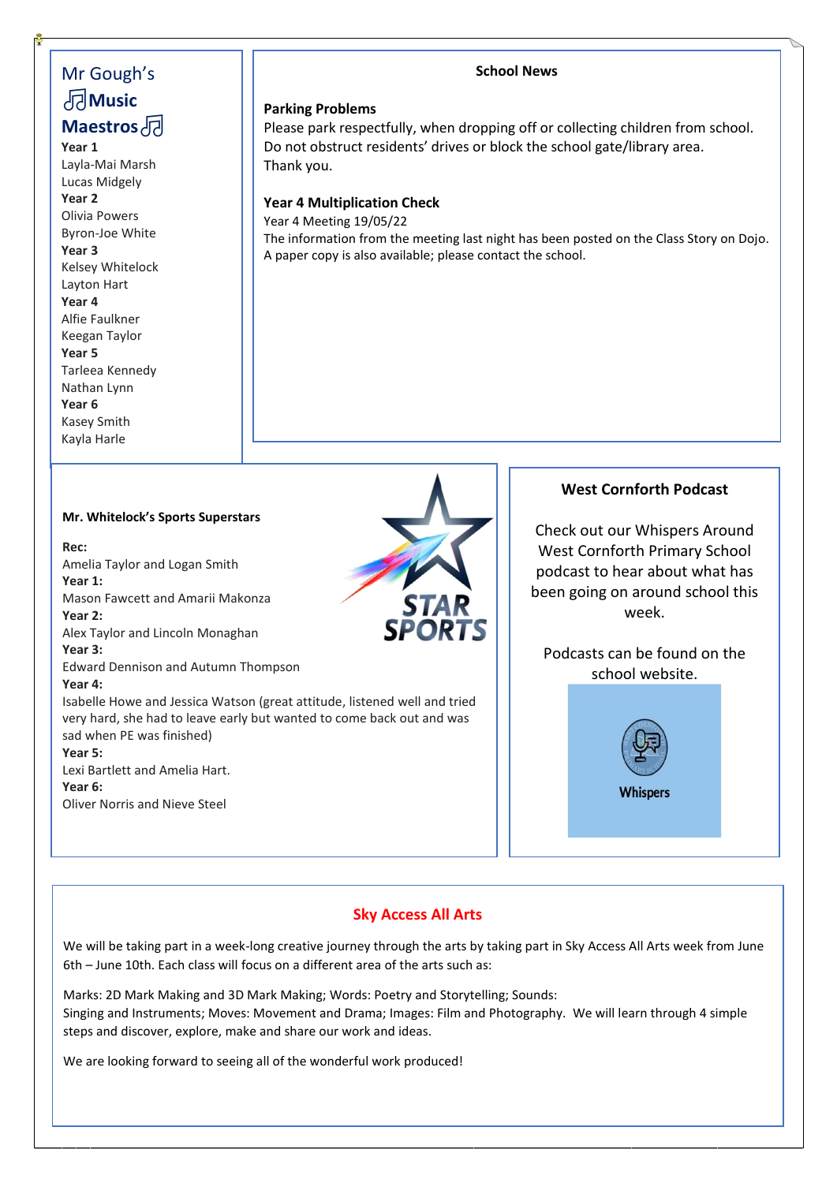# Mr Gough's **Music Maestros**

**Year 1** Layla-Mai Marsh Lucas Midgely **Year 2** Olivia Powers Byron-Joe White **Year 3** Kelsey Whitelock Layton Hart **Year 4** Alfie Faulkner Keegan Taylor **Year 5** Tarleea Kennedy Nathan Lynn **Year 6** Kasey Smith Kayla Harle

#### **School News**

#### **Parking Problems**

Please park respectfully, when dropping off or collecting children from school. Do not obstruct residents' drives or block the school gate/library area. Thank you.

#### **Year 4 Multiplication Check**

Year 4 Meeting 19/05/22 The information from the meeting last night has been posted on the Class Story on Dojo. A paper copy is also available; please contact the school.

#### **Mr. Whitelock's Sports Superstars**

**Rec:** Amelia Taylor and Logan Smith **Year 1:** Mason Fawcett and Amarii Makonza **Year 2:** Alex Taylor and Lincoln Monaghan **Year 3:** Edward Dennison and Autumn Thompson **Year 4:** Isabelle Howe and Jessica Watson (great attitude, listened well and tried very hard, she had to leave early but wanted to come back out and was sad when PE was finished) **Year 5:** Lexi Bartlett and Amelia Hart. **Year 6:**

Oliver Norris and Nieve Steel



### **West Cornforth Podcast**

Check out our Whispers Around West Cornforth Primary School podcast to hear about what has been going on around school this week.

Podcasts can be found on the school website.



# **Sky Access All Arts**

We will be taking part in a week-long creative journey through the arts by taking part in Sky Access All Arts week from June 6th – June 10th. Each class will focus on a different area of the arts such as:

Marks: 2D Mark Making and 3D Mark Making; Words: Poetry and Storytelling; Sounds: Singing and Instruments; Moves: Movement and Drama; Images: Film and Photography. We will learn through 4 simple steps and discover, explore, make and share our work and ideas.

We are looking forward to seeing all of the wonderful work produced!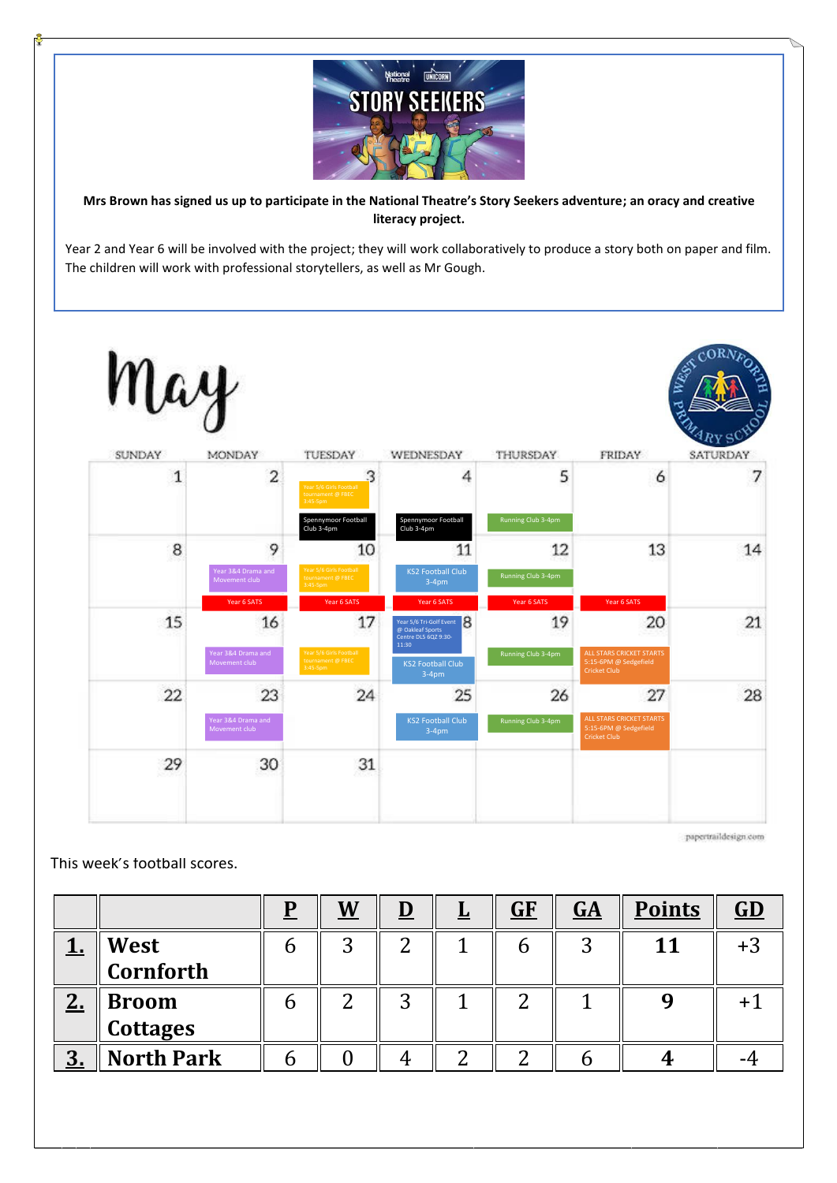

**Mrs Brown has signed us up to participate in the National Theatre's Story Seekers adventure; an oracy and creative literacy project.**

Year 2 and Year 6 will be involved with the project; they will work collaboratively to produce a story both on paper and film. The children will work with professional storytellers, as well as Mr Gough.



papertraildesign com

This week's football scores.

|                  |                   | <u>W</u> | <u> </u> | ⋍ | GF | $G\Delta$ | <b>Points</b> | GD |
|------------------|-------------------|----------|----------|---|----|-----------|---------------|----|
|                  | West<br>Cornforth | ⌒        | ി        |   |    | ി         | 11            |    |
|                  |                   |          |          |   |    |           |               |    |
| n<br><u> 4. </u> | <b>Broom</b>      |          | ⌒        |   | ⌒  |           |               |    |
|                  | <b>Cottages</b>   |          |          |   |    |           |               |    |
| $\mathbf{D}$     | <b>North Park</b> |          |          |   |    |           |               |    |